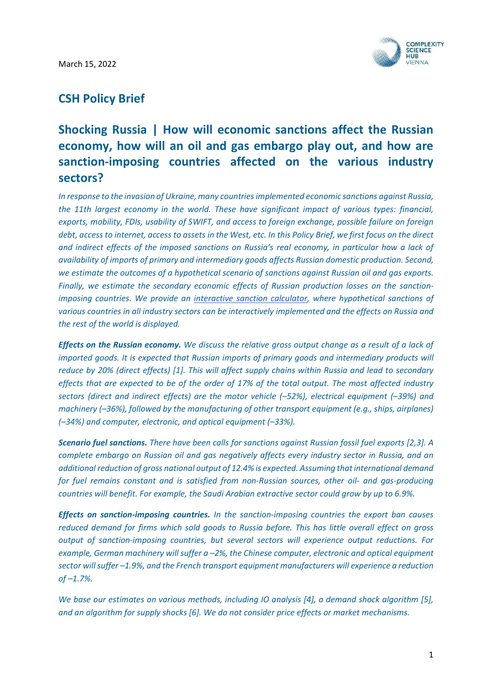March 15, 2022



# CSH Policy Brief

# Shocking Russia | How will economic sanctions affect the Russian economy, how will an oil and gas embargo play out, and how are sanction-imposing countries affected on the various industry sectors?

In response to the invasion of Ukraine, many countries implemented economic sanctions against Russia, the 11th largest economy in the world. These have significant impact of various types: financial, exports, mobility, FDIs, usability of SWIFT, and access to foreign exchange, possible failure on foreign debt, access to internet, access to assets in the West, etc. In this Policy Brief, we first focus on the direct and indirect effects of the imposed sanctions on Russia's real economy, in particular how a lack of availability of imports of primary and intermediary goods affects Russian domestic production. Second, we estimate the outcomes of a hypothetical scenario of sanctions against Russian oil and gas exports. Finally, we estimate the secondary economic effects of Russian production losses on the sanctionimposing countries. We provide an interactive sanction calculator, where hypothetical sanctions of various countries in all industry sectors can be interactively implemented and the effects on Russia and the rest of the world is displayed.

**Effects on the Russian economy.** We discuss the relative gross output change as a result of a lack of imported goods. It is expected that Russian imports of primary goods and intermediary products will reduce by 20% (direct effects) [1]. This will affect supply chains within Russia and lead to secondary effects that are expected to be of the order of 17% of the total output. The most affected industry sectors (direct and indirect effects) are the motor vehicle (–52%), electrical equipment (–39%) and machinery (–36%), followed by the manufacturing of other transport equipment (e.g., ships, airplanes) (–34%) and computer, electronic, and optical equipment (–33%).

Scenario fuel sanctions. There have been calls for sanctions against Russian fossil fuel exports [2,3]. A complete embargo on Russian oil and gas negatively affects every industry sector in Russia, and an additional reduction of gross national output of 12.4% is expected. Assuming that international demand for fuel remains constant and is satisfied from non-Russian sources, other oil- and gas-producing countries will benefit. For example, the Saudi Arabian extractive sector could grow by up to 6.9%.

**Effects on sanction-imposing countries.** In the sanction-imposing countries the export ban causes reduced demand for firms which sold goods to Russia before. This has little overall effect on gross output of sanction-imposing countries, but several sectors will experience output reductions. For example, German machinery will suffer a –2%, the Chinese computer, electronic and optical equipment sector will suffer –1.9%, and the French transport equipment manufacturers will experience a reduction  $of -1.7\%$ .

We base our estimates on various methods, including IO analysis [4], a demand shock algorithm [5], and an algorithm for supply shocks [6]. We do not consider price effects or market mechanisms.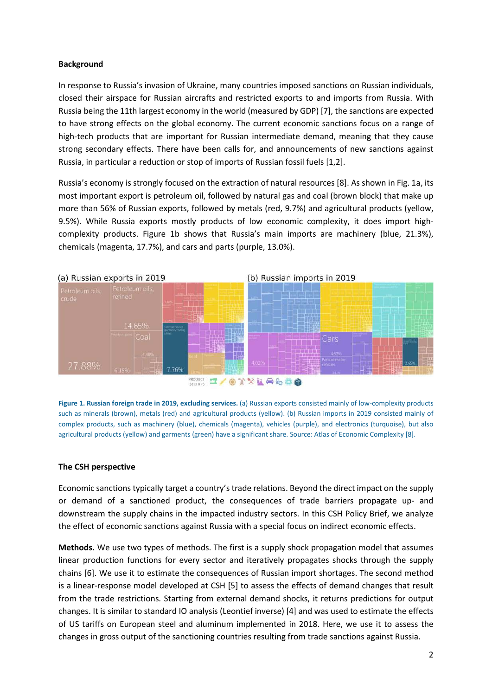#### **Background**

In response to Russia's invasion of Ukraine, many countries imposed sanctions on Russian individuals, closed their airspace for Russian aircrafts and restricted exports to and imports from Russia. With Russia being the 11th largest economy in the world (measured by GDP) [7], the sanctions are expected to have strong effects on the global economy. The current economic sanctions focus on a range of high-tech products that are important for Russian intermediate demand, meaning that they cause strong secondary effects. There have been calls for, and announcements of new sanctions against Russia, in particular a reduction or stop of imports of Russian fossil fuels [1,2].

Russia's economy is strongly focused on the extraction of natural resources [8]. As shown in Fig. 1a, its most important export is petroleum oil, followed by natural gas and coal (brown block) that make up more than 56% of Russian exports, followed by metals (red, 9.7%) and agricultural products (yellow, 9.5%). While Russia exports mostly products of low economic complexity, it does import highcomplexity products. Figure 1b shows that Russia's main imports are machinery (blue, 21.3%), chemicals (magenta, 17.7%), and cars and parts (purple, 13.0%).



Figure 1. Russian foreign trade in 2019, excluding services. (a) Russian exports consisted mainly of low-complexity products such as minerals (brown), metals (red) and agricultural products (yellow). (b) Russian imports in 2019 consisted mainly of complex products, such as machinery (blue), chemicals (magenta), vehicles (purple), and electronics (turquoise), but also agricultural products (yellow) and garments (green) have a significant share. Source: Atlas of Economic Complexity [8].

### The CSH perspective

Economic sanctions typically target a country's trade relations. Beyond the direct impact on the supply or demand of a sanctioned product, the consequences of trade barriers propagate up- and downstream the supply chains in the impacted industry sectors. In this CSH Policy Brief, we analyze the effect of economic sanctions against Russia with a special focus on indirect economic effects.

Methods. We use two types of methods. The first is a supply shock propagation model that assumes linear production functions for every sector and iteratively propagates shocks through the supply chains [6]. We use it to estimate the consequences of Russian import shortages. The second method is a linear-response model developed at CSH [5] to assess the effects of demand changes that result from the trade restrictions. Starting from external demand shocks, it returns predictions for output changes. It is similar to standard IO analysis (Leontief inverse) [4] and was used to estimate the effects of US tariffs on European steel and aluminum implemented in 2018. Here, we use it to assess the changes in gross output of the sanctioning countries resulting from trade sanctions against Russia.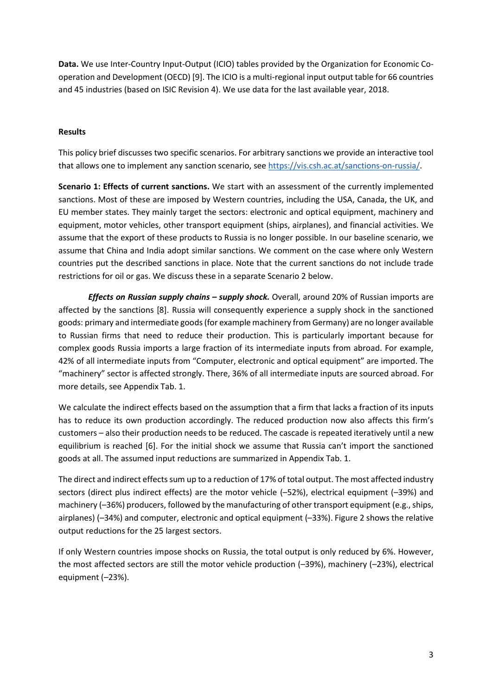Data. We use Inter-Country Input-Output (ICIO) tables provided by the Organization for Economic Cooperation and Development (OECD) [9]. The ICIO is a multi-regional input output table for 66 countries and 45 industries (based on ISIC Revision 4). We use data for the last available year, 2018.

### Results

This policy brief discusses two specific scenarios. For arbitrary sanctions we provide an interactive tool that allows one to implement any sanction scenario, see https://vis.csh.ac.at/sanctions-on-russia/.

Scenario 1: Effects of current sanctions. We start with an assessment of the currently implemented sanctions. Most of these are imposed by Western countries, including the USA, Canada, the UK, and EU member states. They mainly target the sectors: electronic and optical equipment, machinery and equipment, motor vehicles, other transport equipment (ships, airplanes), and financial activities. We assume that the export of these products to Russia is no longer possible. In our baseline scenario, we assume that China and India adopt similar sanctions. We comment on the case where only Western countries put the described sanctions in place. Note that the current sanctions do not include trade restrictions for oil or gas. We discuss these in a separate Scenario 2 below.

Effects on Russian supply chains - supply shock. Overall, around 20% of Russian imports are affected by the sanctions [8]. Russia will consequently experience a supply shock in the sanctioned goods: primary and intermediate goods (for example machinery from Germany) are no longer available to Russian firms that need to reduce their production. This is particularly important because for complex goods Russia imports a large fraction of its intermediate inputs from abroad. For example, 42% of all intermediate inputs from "Computer, electronic and optical equipment" are imported. The "machinery" sector is affected strongly. There, 36% of all intermediate inputs are sourced abroad. For more details, see Appendix Tab. 1.

We calculate the indirect effects based on the assumption that a firm that lacks a fraction of its inputs has to reduce its own production accordingly. The reduced production now also affects this firm's customers – also their production needs to be reduced. The cascade is repeated iteratively until a new equilibrium is reached [6]. For the initial shock we assume that Russia can't import the sanctioned goods at all. The assumed input reductions are summarized in Appendix Tab. 1.

The direct and indirect effects sum up to a reduction of 17% of total output. The most affected industry sectors (direct plus indirect effects) are the motor vehicle (–52%), electrical equipment (–39%) and machinery (–36%) producers, followed by the manufacturing of other transport equipment (e.g., ships, airplanes) (–34%) and computer, electronic and optical equipment (–33%). Figure 2 shows the relative output reductions for the 25 largest sectors.

If only Western countries impose shocks on Russia, the total output is only reduced by 6%. However, the most affected sectors are still the motor vehicle production (–39%), machinery (–23%), electrical equipment (–23%).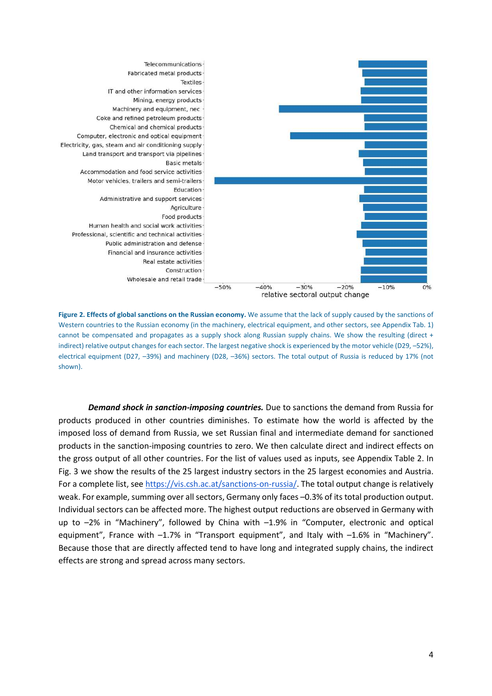

Figure 2. Effects of global sanctions on the Russian economy. We assume that the lack of supply caused by the sanctions of Western countries to the Russian economy (in the machinery, electrical equipment, and other sectors, see Appendix Tab. 1) cannot be compensated and propagates as a supply shock along Russian supply chains. We show the resulting (direct + indirect) relative output changes for each sector. The largest negative shock is experienced by the motor vehicle (D29, –52%), electrical equipment (D27, –39%) and machinery (D28, –36%) sectors. The total output of Russia is reduced by 17% (not shown).

**Demand shock in sanction-imposing countries.** Due to sanctions the demand from Russia for products produced in other countries diminishes. To estimate how the world is affected by the imposed loss of demand from Russia, we set Russian final and intermediate demand for sanctioned products in the sanction-imposing countries to zero. We then calculate direct and indirect effects on the gross output of all other countries. For the list of values used as inputs, see Appendix Table 2. In Fig. 3 we show the results of the 25 largest industry sectors in the 25 largest economies and Austria. For a complete list, see https://vis.csh.ac.at/sanctions-on-russia/. The total output change is relatively weak. For example, summing over all sectors, Germany only faces –0.3% of its total production output. Individual sectors can be affected more. The highest output reductions are observed in Germany with up to –2% in "Machinery", followed by China with –1.9% in "Computer, electronic and optical equipment", France with –1.7% in "Transport equipment", and Italy with –1.6% in "Machinery". Because those that are directly affected tend to have long and integrated supply chains, the indirect effects are strong and spread across many sectors.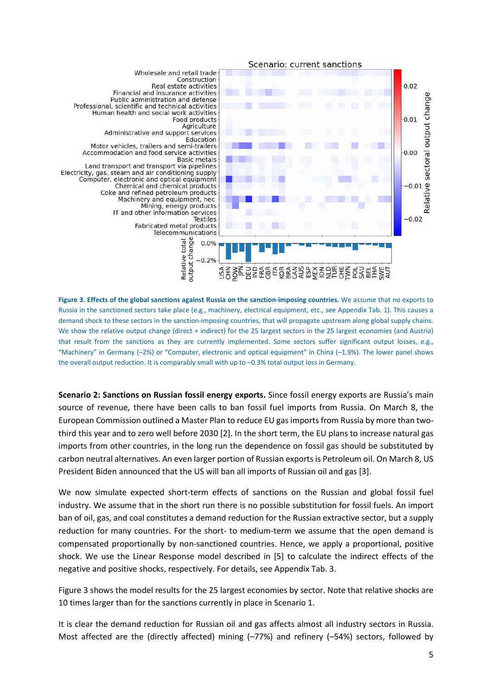

Figure 3. Effects of the global sanctions against Russia on the sanction-imposing countries. We assume that no exports to Russia in the sanctioned sectors take place (e.g., machinery, electrical equipment, etc., see Appendix Tab. 1). This causes a demand shock to these sectors in the sanction-imposing countries, that will propagate upstream along global supply chains. We show the relative output change (direct + indirect) for the 25 largest sectors in the 25 largest economies (and Austria) that result from the sanctions as they are currently implemented. Some sectors suffer significant output losses, e.g., "Machinery" in Germany (–2%) or "Computer, electronic and optical equipment" in China (–1.9%). The lower panel shows the overall output reduction. It is comparably small with up to –0.3% total output loss in Germany.

Scenario 2: Sanctions on Russian fossil energy exports. Since fossil energy exports are Russia's main source of revenue, there have been calls to ban fossil fuel imports from Russia. On March 8, the European Commission outlined a Master Plan to reduce EU gas imports from Russia by more than twothird this year and to zero well before 2030 [2]. In the short term, the EU plans to increase natural gas imports from other countries, in the long run the dependence on fossil gas should be substituted by carbon neutral alternatives. An even larger portion of Russian exports is Petroleum oil. On March 8, US President Biden announced that the US will ban all imports of Russian oil and gas [3].

We now simulate expected short-term effects of sanctions on the Russian and global fossil fuel industry. We assume that in the short run there is no possible substitution for fossil fuels. An import ban of oil, gas, and coal constitutes a demand reduction for the Russian extractive sector, but a supply reduction for many countries. For the short- to medium-term we assume that the open demand is compensated proportionally by non-sanctioned countries. Hence, we apply a proportional, positive shock. We use the Linear Response model described in [5] to calculate the indirect effects of the negative and positive shocks, respectively. For details, see Appendix Tab. 3.

Figure 3 shows the model results for the 25 largest economies by sector. Note that relative shocks are 10 times larger than for the sanctions currently in place in Scenario 1.

It is clear the demand reduction for Russian oil and gas affects almost all industry sectors in Russia. Most affected are the (directly affected) mining (–77%) and refinery (–54%) sectors, followed by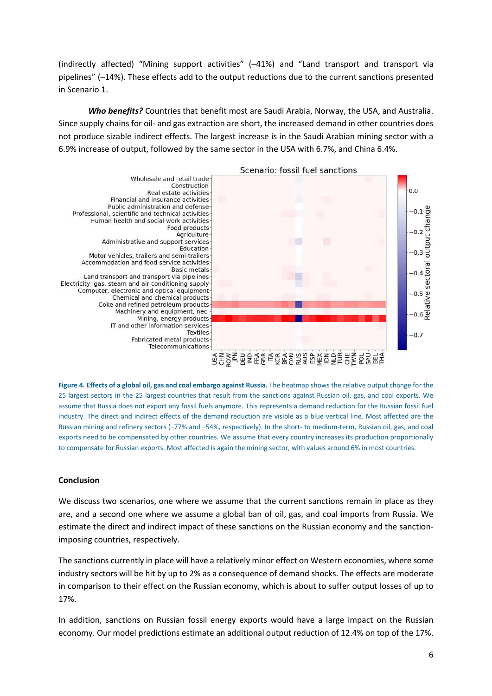(indirectly affected) "Mining support activities" (–41%) and "Land transport and transport via pipelines" (–14%). These effects add to the output reductions due to the current sanctions presented in Scenario 1.

Who benefits? Countries that benefit most are Saudi Arabia, Norway, the USA, and Australia. Since supply chains for oil- and gas extraction are short, the increased demand in other countries does not produce sizable indirect effects. The largest increase is in the Saudi Arabian mining sector with a 6.9% increase of output, followed by the same sector in the USA with 6.7%, and China 6.4%.



Figure 4. Effects of a global oil, gas and coal embargo against Russia. The heatmap shows the relative output change for the 25 largest sectors in the 25 largest countries that result from the sanctions against Russian oil, gas, and coal exports. We assume that Russia does not export any fossil fuels anymore. This represents a demand reduction for the Russian fossil fuel industry. The direct and indirect effects of the demand reduction are visible as a blue vertical line. Most affected are the Russian mining and refinery sectors (–77% and –54%, respectively). In the short- to medium-term, Russian oil, gas, and coal exports need to be compensated by other countries. We assume that every country increases its production proportionally to compensate for Russian exports. Most affected is again the mining sector, with values around 6% in most countries.

### Conclusion

We discuss two scenarios, one where we assume that the current sanctions remain in place as they are, and a second one where we assume a global ban of oil, gas, and coal imports from Russia. We estimate the direct and indirect impact of these sanctions on the Russian economy and the sanctionimposing countries, respectively.

The sanctions currently in place will have a relatively minor effect on Western economies, where some industry sectors will be hit by up to 2% as a consequence of demand shocks. The effects are moderate in comparison to their effect on the Russian economy, which is about to suffer output losses of up to 17%.

In addition, sanctions on Russian fossil energy exports would have a large impact on the Russian economy. Our model predictions estimate an additional output reduction of 12.4% on top of the 17%.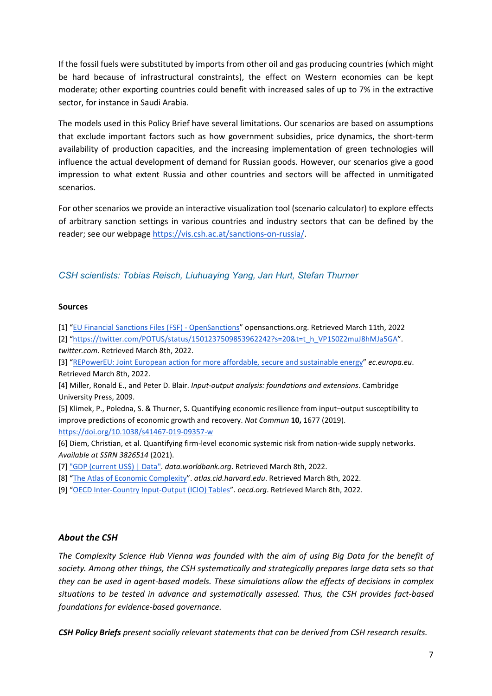If the fossil fuels were substituted by imports from other oil and gas producing countries (which might be hard because of infrastructural constraints), the effect on Western economies can be kept moderate; other exporting countries could benefit with increased sales of up to 7% in the extractive sector, for instance in Saudi Arabia.

The models used in this Policy Brief have several limitations. Our scenarios are based on assumptions that exclude important factors such as how government subsidies, price dynamics, the short-term availability of production capacities, and the increasing implementation of green technologies will influence the actual development of demand for Russian goods. However, our scenarios give a good impression to what extent Russia and other countries and sectors will be affected in unmitigated scenarios.

For other scenarios we provide an interactive visualization tool (scenario calculator) to explore effects of arbitrary sanction settings in various countries and industry sectors that can be defined by the reader; see our webpage https://vis.csh.ac.at/sanctions-on-russia/.

## CSH scientists: Tobias Reisch, Liuhuaying Yang, Jan Hurt, Stefan Thurner

#### Sources

[1] "EU Financial Sanctions Files (FSF) - OpenSanctions" opensanctions.org. Retrieved March 11th, 2022

[2] "https://twitter.com/POTUS/status/1501237509853962242?s=20&t=t\_h\_VP1S0Z2muJ8hMJa5GA". twitter.com. Retrieved March 8th, 2022.

[3] "REPowerEU: Joint European action for more affordable, secure and sustainable energy" ec.europa.eu. Retrieved March 8th, 2022.

[4] Miller, Ronald E., and Peter D. Blair. Input-output analysis: foundations and extensions. Cambridge University Press, 2009.

[5] Klimek, P., Poledna, S. & Thurner, S. Quantifying economic resilience from input–output susceptibility to improve predictions of economic growth and recovery. Nat Commun 10, 1677 (2019). https://doi.org/10.1038/s41467-019-09357-w

[6] Diem, Christian, et al. Quantifying firm-level economic systemic risk from nation-wide supply networks. Available at SSRN 3826514 (2021).

[7] "GDP (current US\$) | Data". data.worldbank.org. Retrieved March 8th, 2022.

[8] "The Atlas of Economic Complexity". atlas.cid.harvard.edu. Retrieved March 8th, 2022.

[9] "OECD Inter-Country Input-Output (ICIO) Tables". oecd.org. Retrieved March 8th, 2022.

#### About the CSH

The Complexity Science Hub Vienna was founded with the aim of using Big Data for the benefit of society. Among other things, the CSH systematically and strategically prepares large data sets so that they can be used in agent-based models. These simulations allow the effects of decisions in complex situations to be tested in advance and systematically assessed. Thus, the CSH provides fact-based foundations for evidence-based governance.

CSH Policy Briefs present socially relevant statements that can be derived from CSH research results.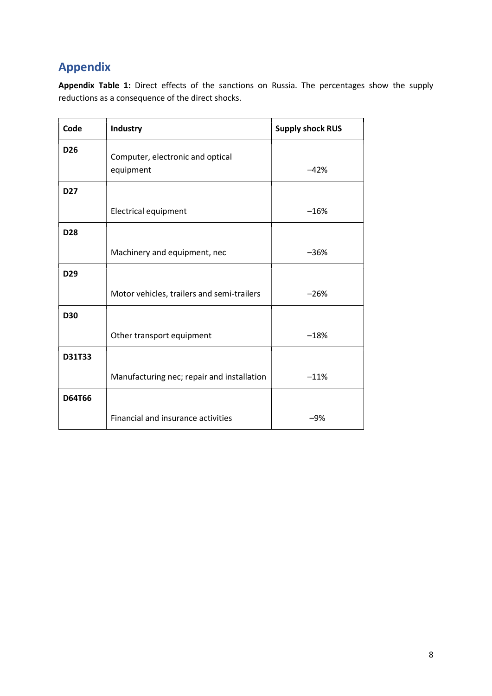# Appendix

Appendix Table 1: Direct effects of the sanctions on Russia. The percentages show the supply reductions as a consequence of the direct shocks.

| Code            | <b>Industry</b>                               | <b>Supply shock RUS</b> |
|-----------------|-----------------------------------------------|-------------------------|
| D <sub>26</sub> | Computer, electronic and optical<br>equipment | $-42%$                  |
| D <sub>27</sub> |                                               |                         |
|                 | <b>Electrical equipment</b>                   | $-16%$                  |
| <b>D28</b>      |                                               |                         |
|                 | Machinery and equipment, nec                  | $-36%$                  |
| D <sub>29</sub> |                                               |                         |
|                 | Motor vehicles, trailers and semi-trailers    | $-26%$                  |
| <b>D30</b>      |                                               |                         |
|                 | Other transport equipment                     | $-18%$                  |
| <b>D31T33</b>   |                                               |                         |
|                 | Manufacturing nec; repair and installation    | $-11%$                  |
| <b>D64T66</b>   |                                               |                         |
|                 | Financial and insurance activities            | $-9%$                   |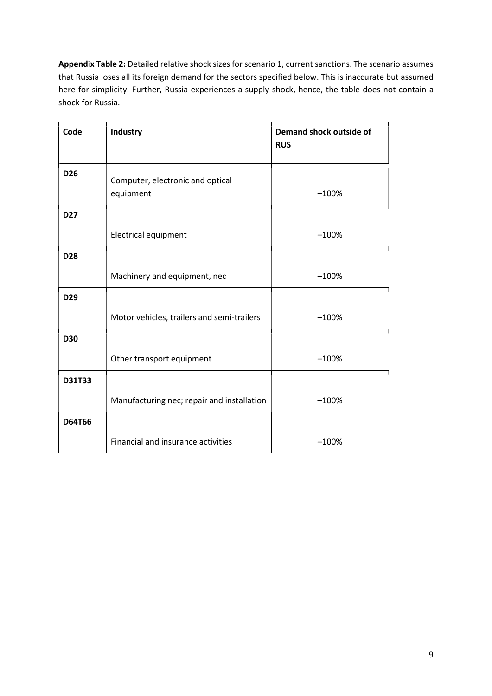Appendix Table 2: Detailed relative shock sizes for scenario 1, current sanctions. The scenario assumes that Russia loses all its foreign demand for the sectors specified below. This is inaccurate but assumed here for simplicity. Further, Russia experiences a supply shock, hence, the table does not contain a shock for Russia.

| Code            | Industry                                      | Demand shock outside of<br><b>RUS</b> |
|-----------------|-----------------------------------------------|---------------------------------------|
| D <sub>26</sub> | Computer, electronic and optical<br>equipment | $-100%$                               |
| <b>D27</b>      |                                               |                                       |
|                 | <b>Electrical equipment</b>                   | $-100%$                               |
| D28             |                                               |                                       |
|                 | Machinery and equipment, nec                  | $-100%$                               |
| D29             |                                               |                                       |
|                 | Motor vehicles, trailers and semi-trailers    | $-100%$                               |
| <b>D30</b>      |                                               |                                       |
|                 | Other transport equipment                     | $-100%$                               |
| D31T33          |                                               |                                       |
|                 | Manufacturing nec; repair and installation    | $-100%$                               |
| <b>D64T66</b>   |                                               |                                       |
|                 | Financial and insurance activities            | $-100%$                               |